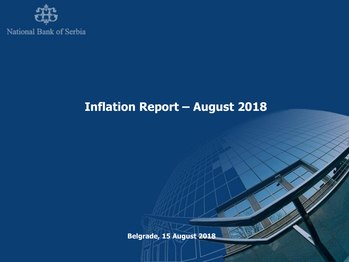

# **Inflation Report – August 2018**

**Belgrade, 15 August 2018**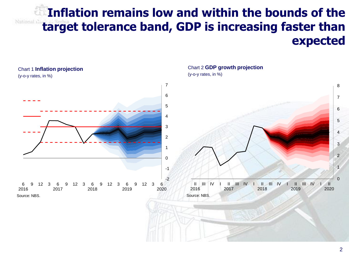## **Inflation remains low and within the bounds of the target tolerance band, GDP is increasing faster than expected**

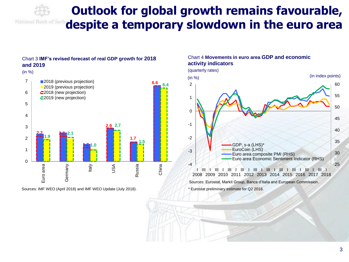

## **Outlook for global growth remains favourable, despite a temporary slowdown in the euro area**

### Chart 3 **IMF's revised forecast of real GDP growth for 2018 and 2019**



Sources: IMF WEO (April 2018) and IMF WEO Update (July 2018).

#### Chart 4 **Movements in euro area GDP and economic activity indicators**



Sources: Eurostat, Markit Group, Banca d'Italia and European Commission.

\* Eurostat preliminary estimate for Q2 2018.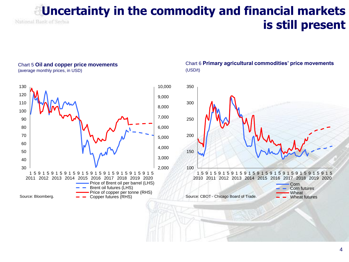## **Uncertainty in the commodity and financial markets** National Bank of Serbia **is still present**

#### Chart 5 **Oil and copper price movements** (average monthly prices, in USD)



### Chart 6 **Primary agricultural commodities' price movements** (USD/t)

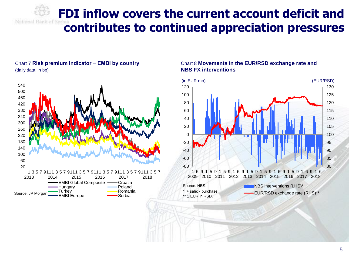**FDI inflow covers the current account deficit and contributes to continued appreciation pressures**

### Chart 7 **Risk premium indicator − EMBI by country** (daily data, in bp)



### Chart 8 **Movements in the EUR/RSD exchange rate and NBS FX interventions**

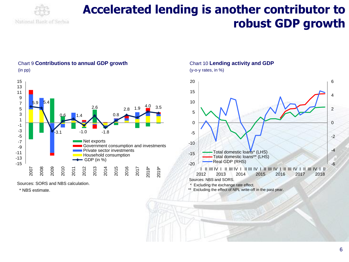

## **Accelerated lending is another contributor to robust GDP growth**



Chart 9 **Contributions to annual GDP growth** 

Sources: SORS and NBS calculation.

\* NBS estimate.

## Chart 10 **Lending activity and GDP**

(y-o-y rates, in %)



Excluding the exchange rate effect.

\*\* Excluding the effect of NPL write-off in the past year.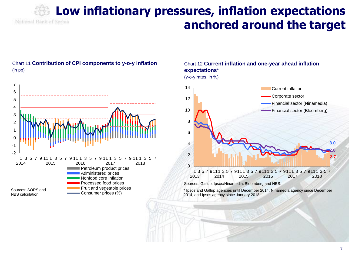## **Low inflationary pressures, inflation expectations**  National Bank of Serbia **anchored around the target**



Chart 11 **Contribution of CPI components to y-o-y inflation**

(in pp)

### Chart 12 **Current inflation and one-year ahead inflation expectations\***

(y-o-y rates, in %)



Sources: Gallup, Ipsos/Ninamedia, Bloomberg and NBS.

\* Ipsos and Gallup agencies until December 2014, Ninamedia agency since December 2014, and Ipsos agency since January 2018.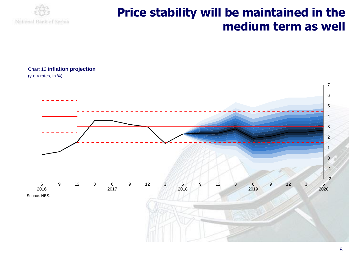

## **Price stability will be maintained in the medium term as well**

Chart 13 **Inflation projection**

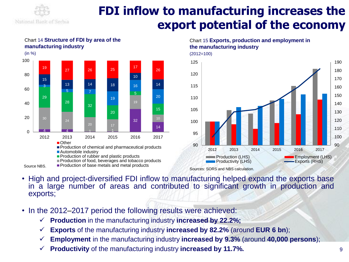

## **FDI inflow to manufacturing increases the export potential of the economy**



## Chart 14 **Structure of FDI by area of the manufacturing industry**

Chart 15 **Exports, production and employment in the manufacturing industry**



#### Sources: SORS and NBS calculation.

- High and project-diversified FDI inflow to manufacturing helped expand the exports base in a large number of areas and contributed to significant growth in production and exports;
- In the 2012–2017 period the following results were achieved:
	- **Production** in the manufacturing industry **increased by 22.2%;**
	- **Exports** of the manufacturing industry **increased by 82.2%** (around **EUR 6 bn**);
	- **Employment** in the manufacturing industry **increased by 9.3%** (around **40,000 persons**);
	- **Productivity** of the manufacturing industry **increased by 11.7%.**